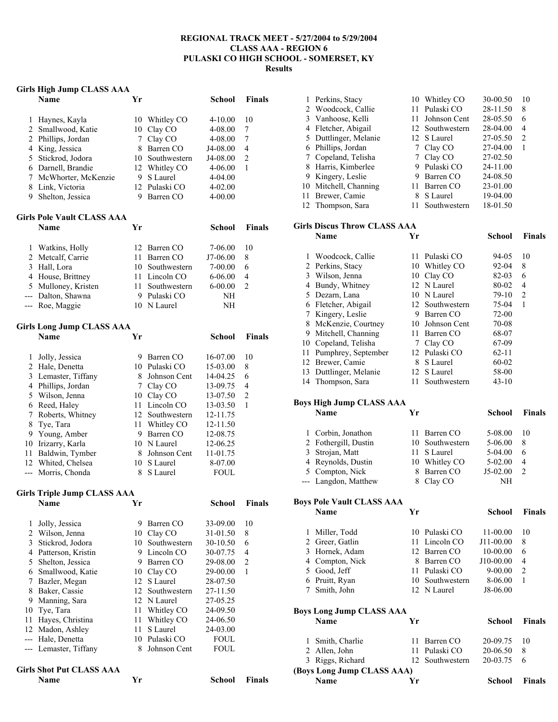#### **REGIONAL TRACK MEET - 5/27/2004 to 5/29/2004 CLASS AAA - REGION 6 PULASKI CO HIGH SCHOOL - SOMERSET, KY Results**

#### **Girls High Jump CLASS AAA**

|                | $\frac{1}{2}$<br>Name              | Yr             |                 | School      | <b>Finals</b>  |
|----------------|------------------------------------|----------------|-----------------|-------------|----------------|
| 1              | Haynes, Kayla                      | 10             | Whitley CO      | 4-10.00     | 10             |
| $\overline{c}$ | Smallwood, Katie                   | 10             | Clay CO         | 4-08.00     | 7              |
| $\overline{c}$ | Phillips, Jordan                   | 7 <sup>7</sup> | Clay CO         | 4-08.00     | 7              |
| 4              | King, Jessica                      |                | 8 Barren CO     | J4-08.00    | 4              |
| 5              | Stickrod, Jodora                   |                | 10 Southwestern | J4-08.00    | $\sqrt{2}$     |
|                | 6 Darnell, Brandie                 |                | 12 Whitley CO   | 4-06.00     | 1              |
| 7              | McWhorter, McKenzie                |                | 9 S Laurel      | 4-04.00     |                |
| 8              | Link, Victoria                     |                | 12 Pulaski CO   | 4-02.00     |                |
| 9              | Shelton, Jessica                   | 9.             | Barren CO       | 4-00.00     |                |
|                | <b>Girls Pole Vault CLASS AAA</b>  |                |                 |             |                |
|                | <b>Name</b>                        | Yr             |                 | School      | <b>Finals</b>  |
| $\mathbf{1}$   | Watkins, Holly                     |                | 12 Barren CO    | 7-06.00     | 10             |
| $\overline{c}$ | Metcalf, Carrie                    |                | 11 Barren CO    | J7-06.00    | 8              |
| 3              | Hall, Lora                         |                | 10 Southwestern | 7-00.00     | 6              |
|                | 4 House, Brittney                  |                | 11 Lincoln CO   | 6-06.00     | 4              |
|                | 5 Mulloney, Kristen                |                | 11 Southwestern | $6 - 00.00$ | 2              |
| $---$          | Dalton, Shawna                     |                | 9 Pulaski CO    | NΗ          |                |
| ---            | Roe, Maggie                        |                | 10 N Laurel     | NH          |                |
|                | <b>Girls Long Jump CLASS AAA</b>   |                |                 |             |                |
|                | <b>Name</b>                        | Yr             |                 | School      | <b>Finals</b>  |
| 1              | Jolly, Jessica                     |                | 9 Barren CO     | 16-07.00    | 10             |
| 2              | Hale, Denetta                      |                | 10 Pulaski CO   | 15-03.00    | 8              |
| 3              | Lemaster, Tiffany                  |                | 8 Johnson Cent  | 14-04.25    | 6              |
|                | 4 Phillips, Jordan                 |                | 7 Clay CO       | 13-09.75    | 4              |
| 5              | Wilson, Jenna                      |                | 10 Clay CO      | 13-07.50    | $\overline{c}$ |
| 6              | Reed, Haley                        |                | 11 Lincoln CO   | 13-03.50    | 1              |
| 7              | Roberts, Whitney                   |                | 12 Southwestern | 12-11.75    |                |
| 8              | Tye, Tara                          |                | 11 Whitley CO   | 12-11.50    |                |
| 9              | Young, Amber                       |                | 9 Barren CO     | 12-08.75    |                |
| 10             | Irizarry, Karla                    |                | 10 N Laurel     | 12-06.25    |                |
| 11             | Baldwin, Tymber                    |                | 8 Johnson Cent  | 11-01.75    |                |
|                | 12 Whited, Chelsea                 |                | 10 S Laurel     | 8-07.00     |                |
|                | --- Morris, Chonda                 | 8              | S Laurel        | <b>FOUL</b> |                |
|                | <b>Girls Triple Jump CLASS AAA</b> |                |                 |             |                |
|                | Name                               | Υr             |                 | School      | Finals         |
| 1              | Jolly, Jessica                     |                | 9 Barren CO     | 33-09.00    | 10             |
| $\overline{c}$ | Wilson, Jenna                      |                | 10 Clay CO      | 31-01.50    | 8              |
| 3              | Stickrod, Jodora                   |                | 10 Southwestern | 30-10.50    | 6              |
| 4              | Patterson, Kristin                 |                | 9 Lincoln CO    | 30-07.75    | 4              |
| 5              | Shelton, Jessica                   |                | 9 Barren CO     | 29-08.00    | $\overline{c}$ |
| 6              | Smallwood, Katie                   |                | 10 Clay CO      | 29-00.00    | 1              |
| 7              | Bazler, Megan                      | 12             | S Laurel        | 28-07.50    |                |
| 8              | Baker, Cassie                      | 12             | Southwestern    | 27-11.50    |                |
| 9              | Manning, Sara                      |                | 12 N Laurel     | 27-05.25    |                |
| 10             | Tye, Tara                          | 11             | Whitley CO      | 24-09.50    |                |
| 11             | Hayes, Christina                   | 11             | Whitley CO      | 24-06.50    |                |
| 12             | Madon, Ashley                      | 11             | S Laurel        | 24-03.00    |                |
| $---$          | Hale, Denetta                      | 10             | Pulaski CO      | <b>FOUL</b> |                |
|                | Lemaster, Tiffany                  | 8              | Johnson Cent    | <b>FOUL</b> |                |
|                | <b>Girls Shot Put CLASS AAA</b>    |                |                 |             |                |

**Name Yr School Finals** 

|    | <b>Name</b>                  | Yr |                 | School   | <b>Finals</b> |
|----|------------------------------|----|-----------------|----------|---------------|
|    | Girls Discus Throw CLASS AAA |    |                 |          |               |
|    | 12 Thompson, Sara            | 11 | Southwestern    | 18-01.50 |               |
| 11 | Brewer, Camie                | 8  | S Laurel        | 19-04.00 |               |
| 10 | Mitchell, Channing           | 11 | Barren CO       | 23-01.00 |               |
| 9  | Kingery, Leslie              | 9  | Barren CO       | 24-08.50 |               |
| 8  | Harris, Kimberlee            | 9  | Pulaski CO      | 24-11.00 |               |
|    | Copeland, Telisha            |    | Clay CO         | 27-02.50 |               |
| 6  | Phillips, Jordan             |    | Clay CO         | 27-04.00 | $\mathbf{1}$  |
|    | 5 Duttlinger, Melanie        |    | 12 S Laurel     | 27-05.50 | 2             |
| 4  | Fletcher, Abigail            |    | 12 Southwestern | 28-04.00 | 4             |
| 3  | Vanhoose, Kelli              | 11 | Johnson Cent    | 28-05.50 | 6             |
|    | 2 Woodcock, Callie           |    | 11 Pulaski CO   | 28-11.50 | 8             |
|    | Perkins, Stacy               |    | 10 Whitley CO   | 30-00.50 | 10            |

|    | Woodcock, Callie     |    | 11 Pulaski CO   | 94-05     | 10             |
|----|----------------------|----|-----------------|-----------|----------------|
|    | 2 Perkins, Stacy     | 10 | Whitley CO      | $92 - 04$ | 8              |
| 3  | Wilson, Jenna        | 10 | Clay CO         | 82-03     | 6              |
| 4  | Bundy, Whitney       |    | 12 N Laurel     | 80-02     | 4              |
| 5. | Dezarn, Lana         |    | 10 N Laurel     | 79-10     | $\overline{2}$ |
| 6  | Fletcher, Abigail    |    | 12 Southwestern | 75-04     | 1              |
|    | Kingery, Leslie      | 9  | Barren CO       | $72-00$   |                |
|    | 8 McKenzie, Courtney | 10 | Johnson Cent    | 70-08     |                |
| 9  | Mitchell, Channing   | 11 | Barren CO       | 68-07     |                |
| 10 | Copeland, Telisha    |    | Clay CO         | 67-09     |                |
| 11 | Pumphrey, September  |    | 12 Pulaski CO   | $62 - 11$ |                |
| 12 | Brewer, Camie        | 8  | S Laurel        | $60 - 02$ |                |
| 13 | Duttlinger, Melanie  |    | 12 S Laurel     | 58-00     |                |
| 14 | Thompson, Sara       |    | Southwestern    | $43 - 10$ |                |

## **Boys High Jump CLASS AAA**

| <b>Name</b>          | Yг |                 | School     | Finals         |
|----------------------|----|-----------------|------------|----------------|
| 1 Corbin, Jonathon   |    | 11 Barren CO    | 5-08.00    | 10             |
| 2 Fothergill, Dustin |    | 10 Southwestern | 5-06.00    | 8              |
| 3 Strojan, Matt      |    | 11 S Laurel     | 5-04.00    | 6              |
| 4 Reynolds, Dustin   |    | 10 Whitley CO   | $5-02.00$  | 4              |
| 5 Compton, Nick      |    | 8 Barren CO     | $J5-02.00$ | $\mathfrak{D}$ |
| --- Langdon, Matthew |    | 8 Clay CO       | NΗ         |                |

#### **Boys Pole Vault CLASS AAA**

| Name            | Yг |                 | School      | <b>Finals</b>  |
|-----------------|----|-----------------|-------------|----------------|
| Miller, Todd    |    | 10 Pulaski CO   | 11-00.00    | 10             |
| 2 Greer, Gatlin |    | 11 Lincoln CO   | $J11-00.00$ | 8              |
| 3 Hornek, Adam  |    | 12 Barren CO    | 10-00.00    | 6              |
| 4 Compton, Nick | 8  | Barren CO       | J10-00.00   | 4              |
| 5 Good, Jeff    |    | 11 Pulaski CO   | $9 - 00.00$ | $\mathfrak{D}$ |
| 6 Pruitt, Ryan  |    | 10 Southwestern | 8-06.00     |                |
| Smith, John     |    | 12 N Laurel     | J8-06.00    |                |
|                 |    |                 |             |                |

# **Boys Long Jump CLASS AAA**

| <b>Name</b>                | Yr. |                 | School          | <b>Finals</b> |
|----------------------------|-----|-----------------|-----------------|---------------|
| 1 Smith, Charlie           |     | 11 Barren CO    | 20-09.75        | $\sqrt{10}$   |
| 2 Allen, John              |     | 11 Pulaski CO   | 20-06.50        | 8             |
| 3 Riggs, Richard           |     | 12 Southwestern | $20-03.75 \t 6$ |               |
| (Boys Long Jump CLASS AAA) |     |                 |                 |               |
| <b>Name</b>                | Vr  |                 | School          | <b>Finals</b> |